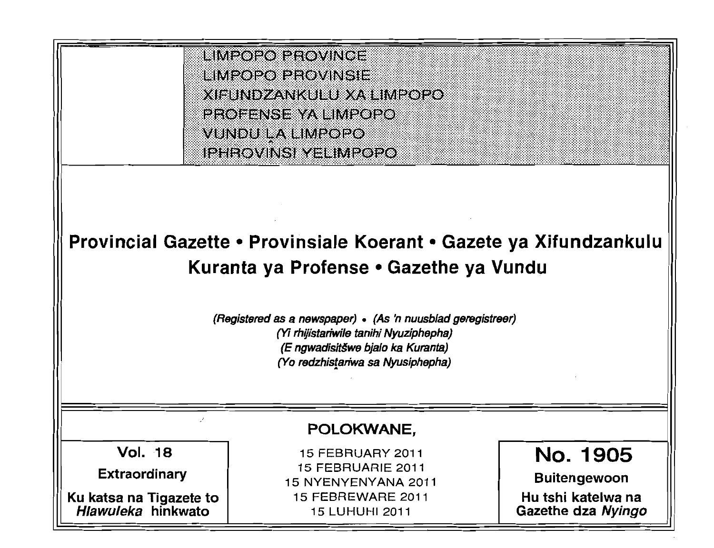

# **Provincial Gazette • Provinsiale Koerant • Gazete ya Xifundzankulu Kuranta ya Profense • Gazethe ya Vundu**

**(Registered as a newspaper) • (As 'n nuusblad geregistreer) (Yi rhijistariwile tanihi Nyuziphepha) (E ngwadisit§we bjalo ka Kuranta) (Yo redzhis!ariwa sa Nyusiphephs)** 

### **POLOKWANE,**

Vol. 18

**Extraordinary** 

**Ku katsa na Tigazete to Hlawuleka hinkwato** 

15 FEBRUARY 2011 15 FEBRUARIE 2011 15 NYENYENYANA 2011 15 FEBREWARE 2011 15 LUHUHI 2011

**No. 1905 Buitengewoon** 

::;';; ;;';; ,:::;: :; '. t: ,t: .:' , , ~l :: ::' ;: :: ':', ::' , .: ., : ::~,~ .;; : ,. , :.

::{; ~; .:' ::~;;l , .:' :: "  $~\,$   $~\,$   $~\,$   $~\,$   $~\,$   $~\,$   $~\,$   $~\,$   $~\,$   $~\,$   $~\,$   $~\,$   $~\,$   $~\,$   $~\,$   $~\,$   $~\,$   $~\,$   $~\,$   $~\,$   $~\,$   $~\,$   $~\,$   $~\,$   $~\,$   $~\,$   $~\,$   $~\,$   $~\,$   $~\,$   $~\,$   $~\,$   $~\,$   $~\,$   $~\,$   $~\,$   $~\,$ " " . :~~ :: :: :: , :,. >" "  $~\blacksquare~$ ; ::;':; :: ( :; '; ;::,;3 , .; : : ;' : ,; '.

: ., :f

**Hu tshi katelwa na Gazethe dza Nyingo**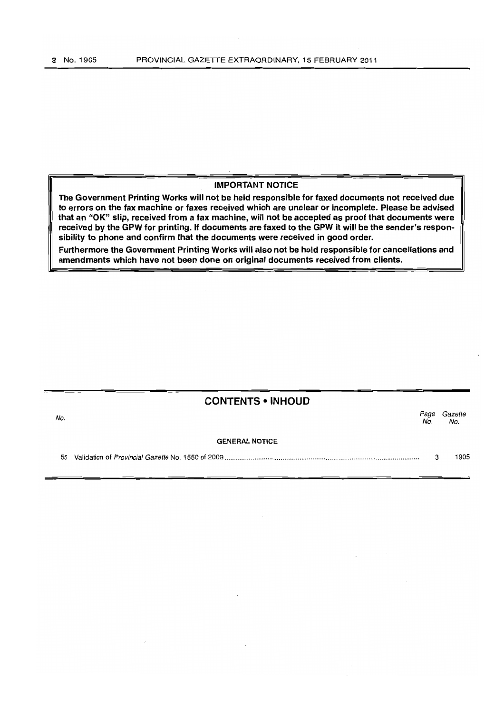#### IMPORTANT NOTICE

The Government Printing Works will not be held responsible for faxed documents not received due to errors on the fax machine or faxes received which are unclear or incomplete. Please be advised that an "OK" slip, received from a fax machine, will not be accepted as proof that documents were received by the GPW for printing. If documents are faxed to the GPW it will be the sender's responsibility to phone and confirm that the documents were received in good order.

Furthermore the Government Printing Works will also not be held responsible for cancellations and amendments which have not been done on original documents received from clients.

|     | <b>CONTENTS • INHOUD</b> |            |                |
|-----|--------------------------|------------|----------------|
| No. |                          | Page<br>No | Gazette<br>No. |
|     | <b>GENERAL NOTICE</b>    |            |                |
| 56  |                          | 3          | 1905           |
|     |                          |            |                |